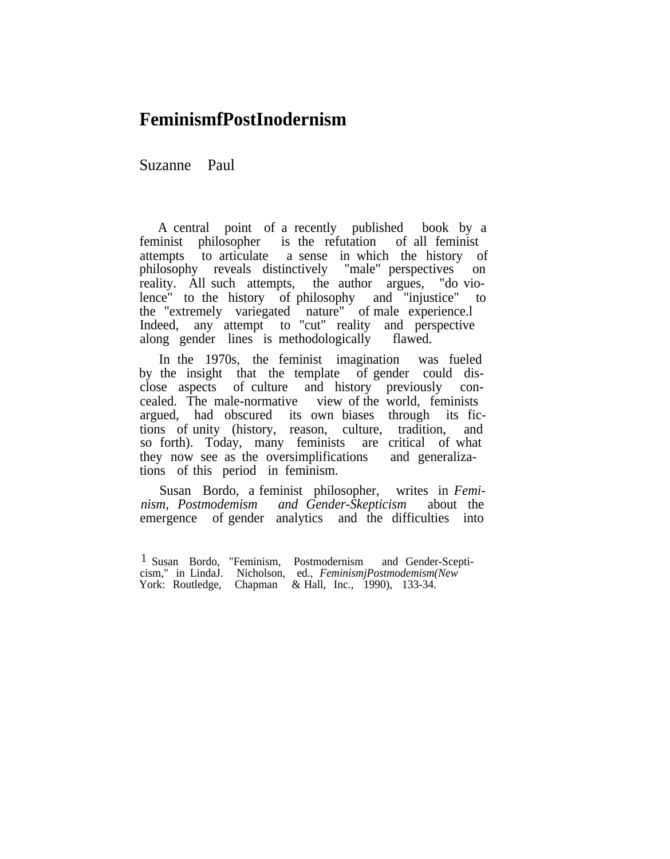## **FeminismfPostInodernism**

Suzanne Paul

A central point of a recently published book by a feminist philosopher is the refutation of all feminist attempts to articulate a sense in which the history of philosophy reveals distinctively "male" perspectives on reality. All such attempts, the author argues, "do violence" to the history of philosophy and "injustice" to the "extremely variegated nature" of male experience.l Indeed, any attempt to "cut" reality and perspective along gender lines is methodologically flawed.

In the 1970s, the feminist imagination was fueled by the insight that the template of gender could disclose aspects of culture and history previously concealed. The male-normative view of the world, feminists argued, had obscured its own biases through its fictions of unity (history, reason, culture, tradition, and so forth). Today, many feminists are critical of what they now see as the oversimplifications and generalizations of this period in feminism.

Susan Bordo, a feminist philosopher, writes in *Feminism, Postmodemism and Gender-Skepticism* about the emergence of gender analytics and the difficulties into

<sup>1</sup> Susan Bordo, "Feminism, Postmodernism and Gender-Scepticism," in LindaJ. Nicholson, ed., *FeminismjPostmodemism(New* York: Routledge, Chapman & Hall, Inc., 1990), 133-34.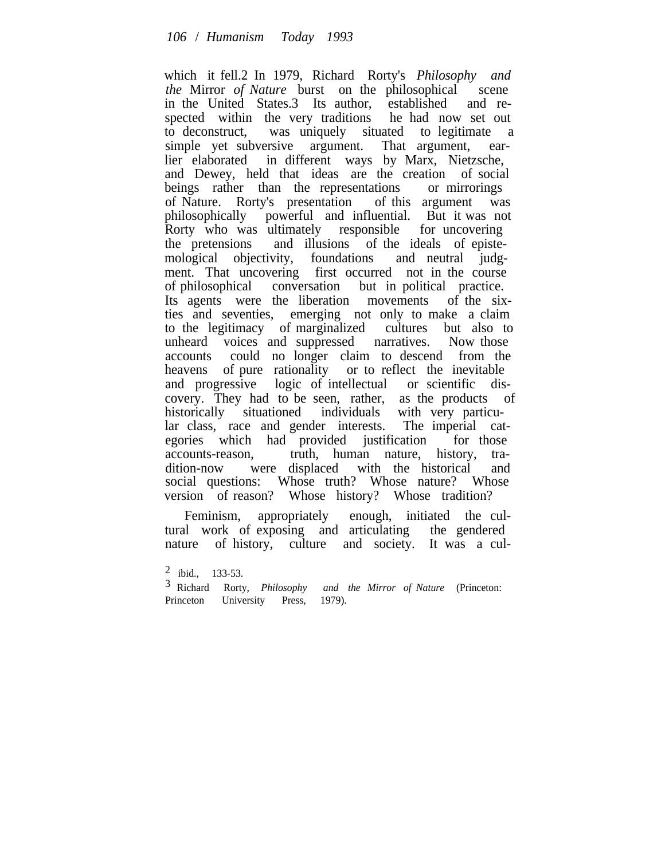which it fell.2 In 1979, Richard Rorty's *Philosophy and the* Mirror *of Nature* burst on the philosophical scene in the United States.3 Its author, established and respected within the very traditions he had now set out to deconstruct, was uniquely situated to legitimate a simple yet subversive argument. That argument, earlier elaborated in different ways by Marx, Nietzsche, and Dewey, held that ideas are the creation of social beings rather than the representations or mirrorings of Nature. Rorty's presentation of this argument was philosophically powerful and influential. But it was not Rorty who was ultimately responsible for uncovering the pretensions and illusions of the ideals of epistemological objectivity, foundations and neutral judgment. That uncovering first occurred not in the course of philosophical conversation but in political practice. Its agents were the liberation movements of the sixties and seventies, emerging not only to make a claim to the legitimacy of marginalized cultures but also to unheard voices and suppressed narratives. Now those accounts could no longer claim to descend from the heavens of pure rationality or to reflect the inevitable and progressive logic of intellectual or scientific discovery. They had to be seen, rather, as the products of historically situationed individuals with very particular class, race and gender interests. The imperial categories which had provided justification for those accounts-reason, truth, human nature, history, tradition-now were displaced with the historical and social questions: Whose truth? Whose nature? Whose version of reason? Whose history? Whose tradition?

Feminism, appropriately enough, initiated the cultural work of exposing and articulating the gendered nature of history, culture and society. It was a cul-

<sup>2</sup> ibid., 133-53.

<sup>3</sup> Richard Rorty, *Philosophy and the Mirror of Nature* (Princeton: Princeton University Press, 1979).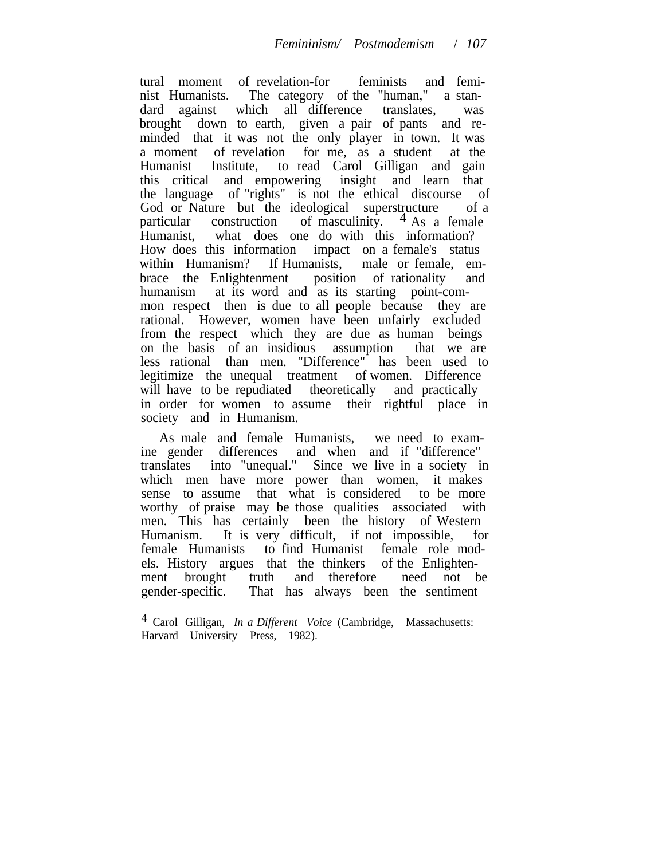tural moment of revelation-for feminists and feminist Humanists. The category of the "human," a standard against which all difference translates, was brought down to earth, given a pair of pants and reminded that it was not the only player in town. It was a moment of revelation for me, as a student at the Humanist Institute, to read Carol Gilligan and gain this critical and empowering insight and learn that the language of "rights" is not the ethical discourse of God or Nature but the ideological superstructure of a particular construction of masculinity.  $4$  As a female Humanist, what does one do with this information? How does this information impact on a female's status within Humanism? If Humanists, male or female, embrace the Enlightenment position of rationality and humanism at its word and as its starting point-common respect then is due to all people because they are rational. However, women have been unfairly excluded from the respect which they are due as human beings on the basis of an insidious assumption that we are less rational than men. "Difference" has been used to legitimize the unequal treatment of women. Difference will have to be repudiated theoretically and practically in order for women to assume their rightful place in society and in Humanism.

As male and female Humanists, we need to examine gender differences and when and if "difference" translates into "unequal." Since we live in a society in which men have more power than women, it makes sense to assume that what is considered to be more worthy of praise may be those qualities associated with men. This has certainly been the history of Western Humanism. It is very difficult, if not impossible, for female Humanists to find Humanist female role models. History argues that the thinkers of the Enlightenment brought truth and therefore need not be gender-specific. That has always been the sentiment

<sup>4</sup> Carol Gilligan, *In a Different Voice* (Cambridge, Massachusetts: Harvard University Press, 1982).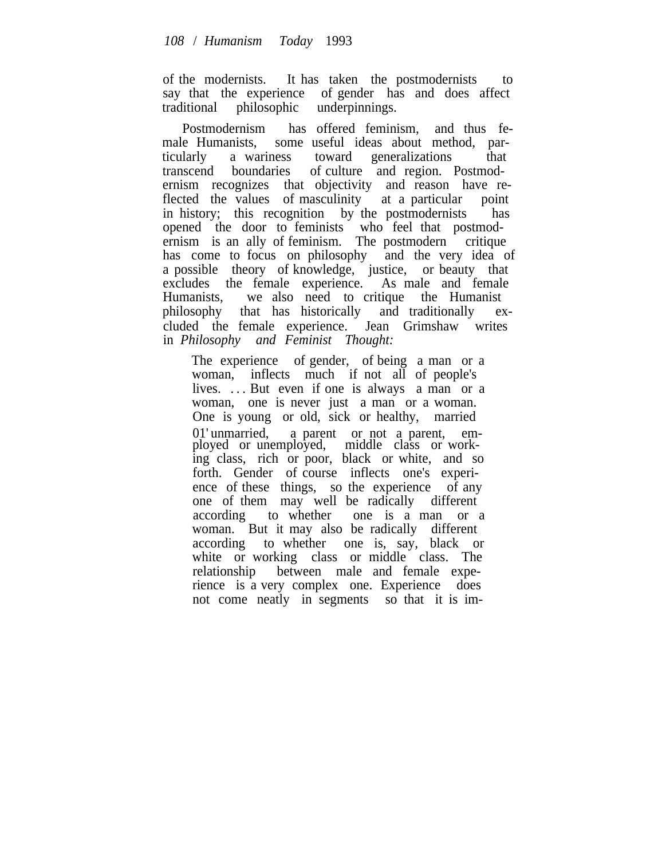of the modernists. It has taken the postmodernists to say that the experience of gender has and does affect traditional philosophic underpinnings.

Postmodernism has offered feminism, and thus female Humanists, some useful ideas about method, particularly a wariness toward generalizations that transcend boundaries of culture and region. Postmodernism recognizes that objectivity and reason have reflected the values of masculinity at a particular point in history; this recognition by the postmodernists has opened the door to feminists who feel that postmodernism is an ally of feminism. The postmodern critique has come to focus on philosophy and the very idea of a possible theory of knowledge, justice, or beauty that excludes the female experience. As male and female Humanists, we also need to critique the Humanist philosophy that has historically and traditionally excluded the female experience. Jean Grimshaw writes in *Philosophy and Feminist Thought:*

The experience of gender, of being a man or a woman, inflects much if not all of people's lives. ... But even if one is always a man or a woman, one is never just a man or a woman. One is young or old, sick or healthy, married 01' unmarried, a parent or not a parent, employed or unemployed, middle class or working class, rich or poor, black or white, and so forth. Gender of course inflects one's experience of these things, so the experience of any one of them may well be radically different according to whether one is a man or a woman. But it may also be radically different according to whether one is, say, black or white or working class or middle class. The relationship between male and female experience is a very complex one. Experience does not come neatly in segments so that it is im-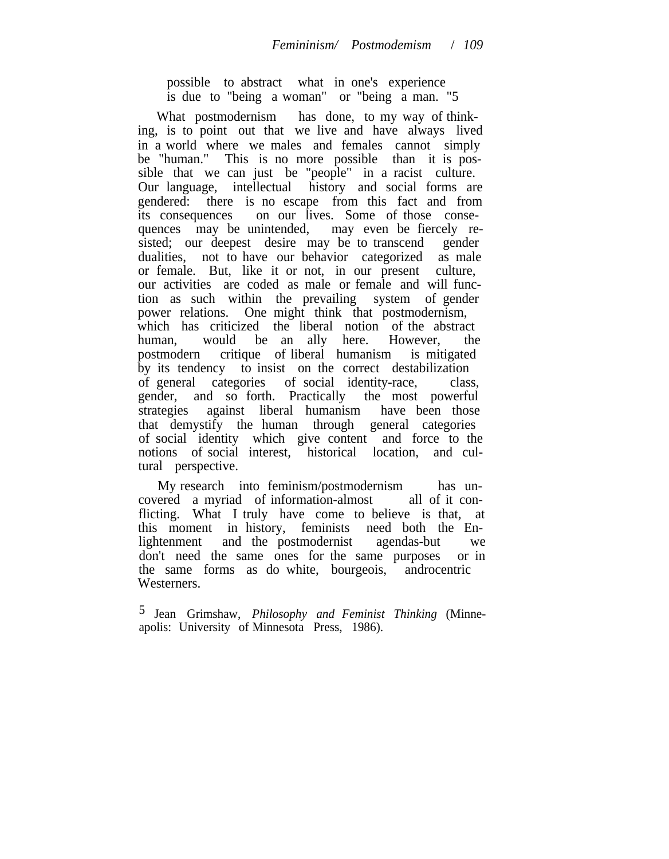possible to abstract what in one's experience is due to "being a woman" or "being a man. "5

What postmodernism has done, to my way of thinking, is to point out that we live and have always lived in a world where we males and females cannot simply be "human." This is no more possible than it is possible that we can just be "people" in a racist culture. Our language, intellectual history and social forms are gendered: there is no escape from this fact and from its consequences on our lives. Some of those consequences may be unintended, may even be fiercely resisted; our deepest desire may be to transcend gender dualities, not to have our behavior categorized as male or female. But, like it or not, in our present culture, our activities are coded as male or female and will function as such within the prevailing system of gender power relations. One might think that postmodernism, which has criticized the liberal notion of the abstract human, would be an ally here. However, the postmodern critique of liberal humanism is mitigated by its tendency to insist on the correct destabilization of general categories of social identity-race, class, gender, and so forth. Practically the most powerful strategies against liberal humanism have been those that demystify the human through general categories of social identity which give content and force to the notions of social interest, historical location, and cultural perspective.

My research into feminism/postmodernism has uncovered a myriad of information-almost all of it conflicting. What I truly have come to believe is that, at this moment in history, feminists need both the Enlightenment and the postmodernist agendas-but we don't need the same ones for the same purposes or in the same forms as do white, bourgeois, androcentric Westerners.

5 Jean Grimshaw, *Philosophy and Feminist Thinking* (Minneapolis: University of Minnesota Press, 1986).